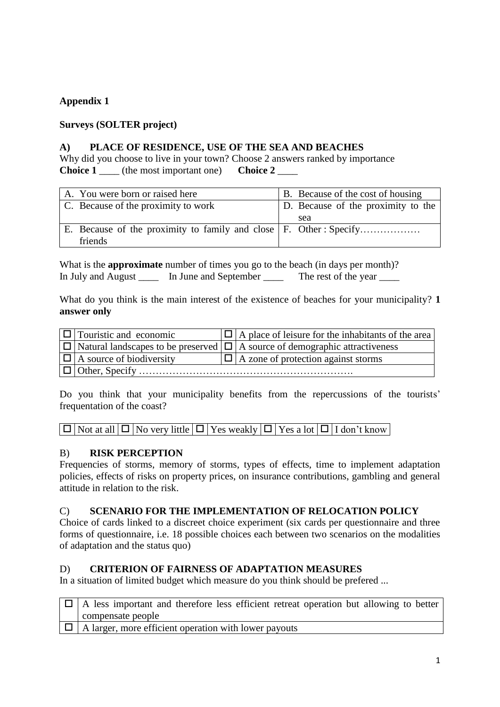## **Appendix 1**

## **Surveys (SOLTER project)**

#### **A) PLACE OF RESIDENCE, USE OF THE SEA AND BEACHES**

Why did you choose to live in your town? Choose 2 answers ranked by importance **Choice 1** \_\_\_\_ (the most important one) **Choice 2** \_\_\_\_

| A. You were born or raised here                                   | B. Because of the cost of housing  |
|-------------------------------------------------------------------|------------------------------------|
| C. Because of the proximity to work                               | D. Because of the proximity to the |
|                                                                   | sea                                |
| E. Because of the proximity to family and close F. Other: Specify |                                    |
| friends                                                           |                                    |

What is the **approximate** number of times you go to the beach (in days per month)? In July and August \_\_\_\_\_ In June and September \_\_\_\_\_ The rest of the year \_\_\_\_\_

What do you think is the main interest of the existence of beaches for your municipality? **1 answer only**

| $ \Box $ Touristic and economic   | $ \Box $ A place of leisure for the inhabitants of the area                                 |
|-----------------------------------|---------------------------------------------------------------------------------------------|
|                                   | $ \Box $ Natural landscapes to be preserved $ \Box $ A source of demographic attractiveness |
| $ \Box $ A source of biodiversity | $ \Box $ A zone of protection against storms                                                |
| $\Box$ Other, Specify             |                                                                                             |

Do you think that your municipality benefits from the repercussions of the tourists' frequentation of the coast?

 $\boxed{\Box}$  Not at all  $\boxed{\Box}$  No very little  $\boxed{\Box}$  Yes weakly  $\boxed{\Box}$  Yes a lot  $\boxed{\Box}$  I don't know

### B) **RISK PERCEPTION**

Frequencies of storms, memory of storms, types of effects, time to implement adaptation policies, effects of risks on property prices, on insurance contributions, gambling and general attitude in relation to the risk.

### C) **SCENARIO FOR THE IMPLEMENTATION OF RELOCATION POLICY**

Choice of cards linked to a discreet choice experiment (six cards per questionnaire and three forms of questionnaire, i.e. 18 possible choices each between two scenarios on the modalities of adaptation and the status quo)

### D) **CRITERION OF FAIRNESS OF ADAPTATION MEASURES**

In a situation of limited budget which measure do you think should be prefered ...

| $\Box$ A less important and therefore less efficient retreat operation but allowing to better |
|-----------------------------------------------------------------------------------------------|
| compensate people                                                                             |
| $\Box$ A larger, more efficient operation with lower payouts                                  |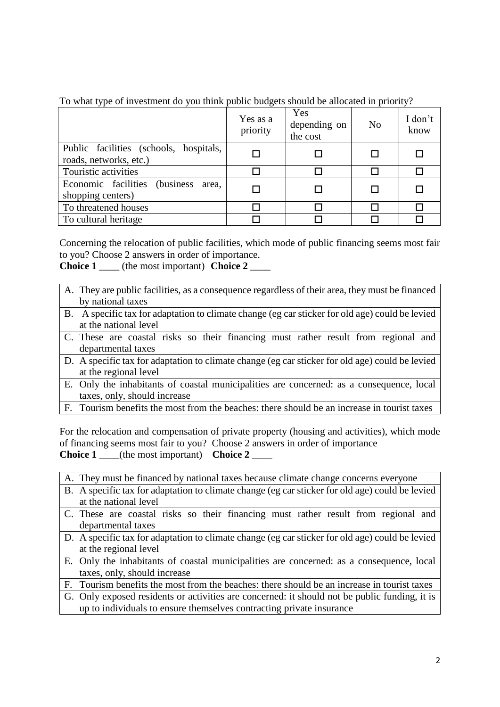|  | To what type of investment do you think public budgets should be allocated in priority? |  |  |  |  |  |
|--|-----------------------------------------------------------------------------------------|--|--|--|--|--|
|  |                                                                                         |  |  |  |  |  |
|  |                                                                                         |  |  |  |  |  |

|                                                                  | Yes as a<br>priority | Yes<br>depending on<br>the cost | N <sub>o</sub> | I don't<br>know |
|------------------------------------------------------------------|----------------------|---------------------------------|----------------|-----------------|
| Public facilities (schools, hospitals,<br>roads, networks, etc.) |                      |                                 |                |                 |
| Touristic activities                                             |                      |                                 |                |                 |
| Economic facilities (business<br>area.<br>shopping centers)      |                      |                                 |                |                 |
| To threatened houses                                             |                      |                                 |                |                 |
| To cultural heritage                                             |                      |                                 |                |                 |

Concerning the relocation of public facilities, which mode of public financing seems most fair to you? Choose 2 answers in order of importance.

**Choice 1** \_\_\_\_ (the most important) **Choice 2** \_\_\_\_

- A. They are public facilities, as a consequence regardless of their area, they must be financed by national taxes
- B. A specific tax for adaptation to climate change (eg car sticker for old age) could be levied at the national level
- C. These are coastal risks so their financing must rather result from regional and departmental taxes
- D. A specific tax for adaptation to climate change (eg car sticker for old age) could be levied at the regional level
- E. Only the inhabitants of coastal municipalities are concerned: as a consequence, local taxes, only, should increase
- F. Tourism benefits the most from the beaches: there should be an increase in tourist taxes

For the relocation and compensation of private property (housing and activities), which mode of financing seems most fair to you? Choose 2 answers in order of importance **Choice 1** \_\_\_\_(the most important) **Choice 2** \_\_\_\_

| A. They must be financed by national taxes because climate change concerns everyone             |
|-------------------------------------------------------------------------------------------------|
| B. A specific tax for adaptation to climate change (eg car sticker for old age) could be levied |
| at the national level                                                                           |
| C. These are coastal risks so their financing must rather result from regional and              |
| departmental taxes                                                                              |
| D. A specific tax for adaptation to climate change (eg car sticker for old age) could be levied |
| at the regional level                                                                           |
| E. Only the inhabitants of coastal municipalities are concerned: as a consequence, local        |
| taxes, only, should increase                                                                    |
| F. Tourism benefits the most from the beaches: there should be an increase in tourist taxes     |
| G. Only exposed residents or activities are concerned: it should not be public funding, it is   |
| up to individuals to ensure themselves contracting private insurance                            |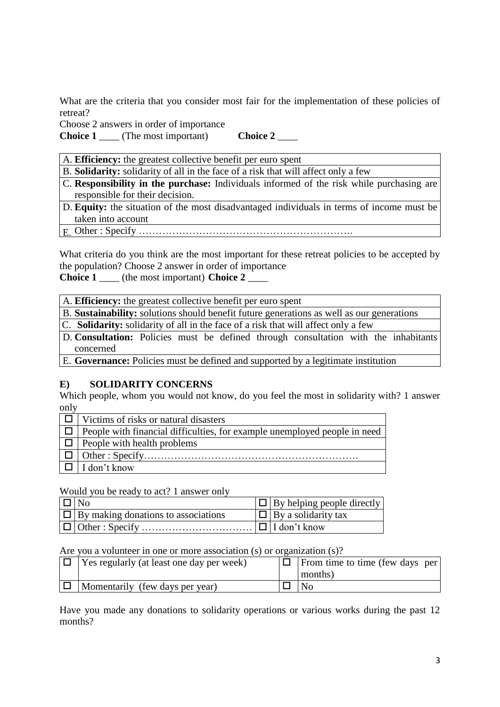What are the criteria that you consider most fair for the implementation of these policies of retreat?

Choose 2 answers in order of importance

**Choice 1** (The most important) **Choice 2** 

A. **Efficiency:** the greatest collective benefit per euro spent

B. **Solidarity:** solidarity of all in the face of a risk that will affect only a few

- C. **Responsibility in the purchase:** Individuals informed of the risk while purchasing are responsible for their decision.
- D. **Equity:** the situation of the most disadvantaged individuals in terms of income must be taken into account
- E. Other : Specify ……………………………………………………….

What criteria do you think are the most important for these retreat policies to be accepted by the population? Choose 2 answer in order of importance **Choice 1** \_\_\_\_ (the most important) **Choice 2** \_\_\_\_

A. **Efficiency:** the greatest collective benefit per euro spent

B. **Sustainability:** solutions should benefit future generations as well as our generations

C. **Solidarity:** solidarity of all in the face of a risk that will affect only a few

- D. **Consultation:** Policies must be defined through consultation with the inhabitants concerned
- E. **Governance:** Policies must be defined and supported by a legitimate institution

#### **E) SOLIDARITY CONCERNS**

Which people, whom you would not know, do you feel the most in solidarity with? 1 answer only

| Victims of risks or natural disasters                                     |
|---------------------------------------------------------------------------|
| People with financial difficulties, for example unemployed people in need |
| People with health problems                                               |
|                                                                           |
| I don't know                                                              |

#### Would you be ready to act? 1 answer only

| $\blacksquare$ No                                      | $ \Box $ By helping people directly |
|--------------------------------------------------------|-------------------------------------|
| $\vert \Box \vert$ By making donations to associations | $ \Box $ By a solidarity tax        |
|                                                        |                                     |

#### Are you a volunteer in one or more association (s) or organization (s)?

| Yes regularly (at least one day per week) | $ \Box $ From time to time (few days per) |
|-------------------------------------------|-------------------------------------------|
|                                           | months)                                   |
| Momentarily (few days per year)           | No                                        |

Have you made any donations to solidarity operations or various works during the past 12 months?